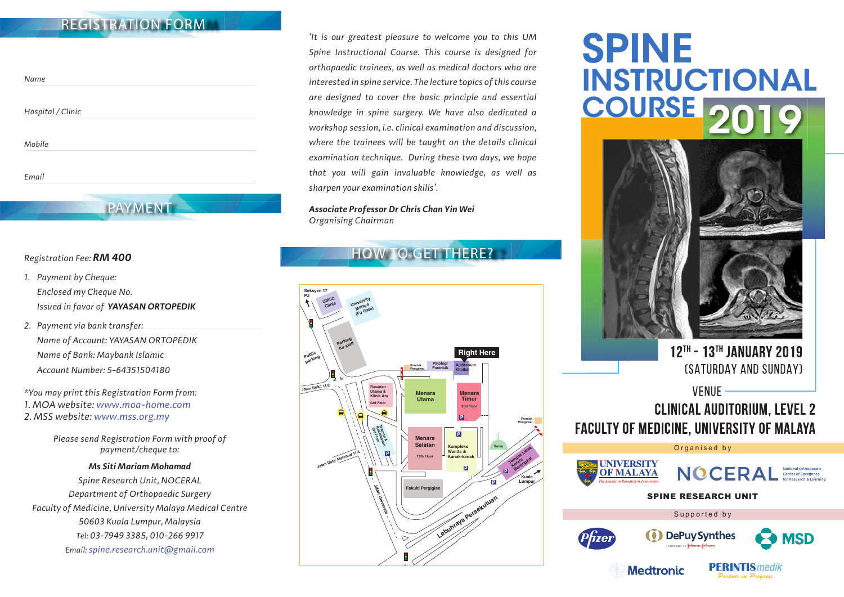# **REGISTRATION FORM**

| Name              |  |  |
|-------------------|--|--|
| Hospital / Clinic |  |  |
| Mobile            |  |  |
| Email             |  |  |

**PAYMENT**

#### *Registration Fee: RM 400*

- *1. Payment by Cheque: Enclosed my Cheque No. Issued in favor of YAYASAN ORTOPEDIK*
- *2. Payment via bank transfer: Name of Account: YAYASAN ORTOPEDIK Name of Bank: Maybank Islamic Account Number: 5-64351504180*

*\*You may print this Registration Form from: 1. MOA website: www.moa-home.com 2. MSS website: www.mss.org.my* 

> *Please send Registration Form with proof of payment/cheque to:*

### *Ms Siti Mariam Mohamad Spine Research Unit, NOCERAL Department of Orthopaedic Surgery Faculty of Medicine, University Malaya Medical Centre 50603 Kuala Lumpur, Malaysia Tel: 03-7949 3385, 010-266 9917 Email: spine.research.unit@gmail.com*

*'It is our greatest pleasure to welcome you to this UM Spine Instructional Course. This course is designed for orthopaedic trainees, as well as medical doctors who are interested in spine service. The lecture topics of this course are designed to cover the basic principle and essential knowledge in spine surgery. We have also dedicated a workshop session, i.e. clinical examination and discussion, where the trainees will be taught on the details clinical examination technique. During these two days, we hope that you will gain invaluable knowledge, as well as sharpen your examination skills'.*

*Associate Professor Dr Chris Chan Yin Wei Organising Chairman*

# **HOW TO GET THERE?**



# SPINE INSTRUCTIONAL COURSE 201



12TH - 13TH JANUARY 2019 (SATURDAY AND SUNDAY)

## VFNUF -**CLINICAL AUDITORIUM. LEVEL 2 FACULTY OF MEDICINE, UNIVERSITY OF MALAYA**

Organised by



**NOCERA** National Orthopaedic<br>Center of Excellence

SPINE RESEARCH UNIT